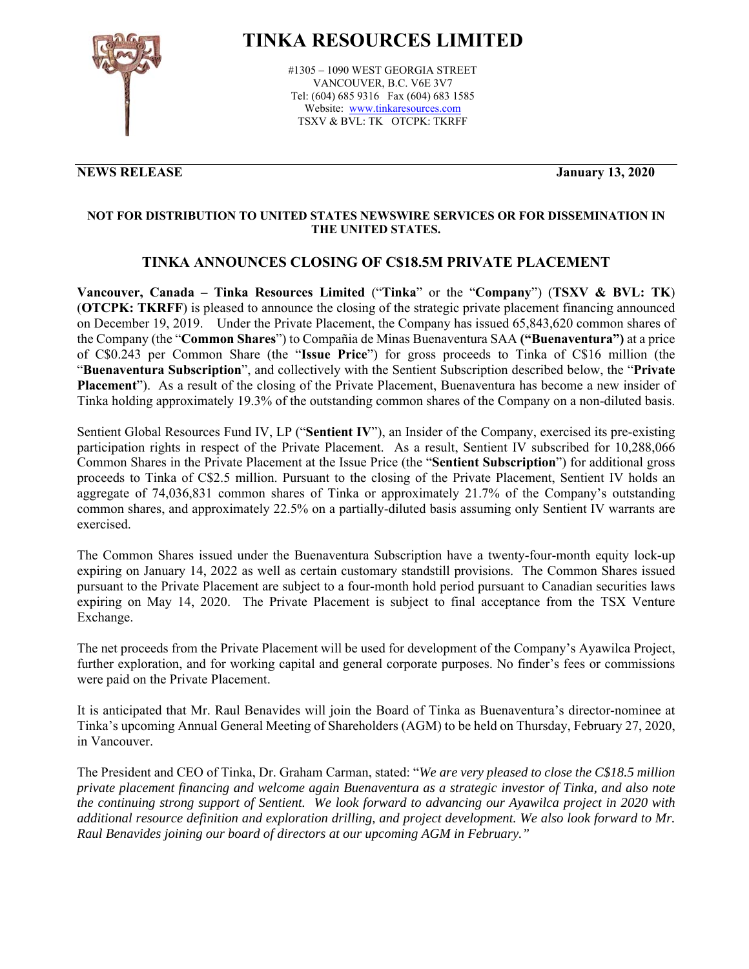

# **TINKA RESOURCES LIMITED**

#1305 – 1090 WEST GEORGIA STREET VANCOUVER, B.C. V6E 3V7 Tel: (604) 685 9316 Fax (604) 683 1585 Website: www.tinkaresources.com TSXV & BVL: TK OTCPK: TKRFF

### **NEWS RELEASE January 13, 2020**

### **NOT FOR DISTRIBUTION TO UNITED STATES NEWSWIRE SERVICES OR FOR DISSEMINATION IN THE UNITED STATES.**

## **TINKA ANNOUNCES CLOSING OF C\$18.5M PRIVATE PLACEMENT**

**Vancouver, Canada – Tinka Resources Limited** ("**Tinka**" or the "**Company**") (**TSXV & BVL: TK**) (**OTCPK: TKRFF**) is pleased to announce the closing of the strategic private placement financing announced on December 19, 2019. Under the Private Placement, the Company has issued 65,843,620 common shares of the Company (the "**Common Shares**") to Compañia de Minas Buenaventura SAA **("Buenaventura")** at a price of C\$0.243 per Common Share (the "**Issue Price**") for gross proceeds to Tinka of C\$16 million (the "**Buenaventura Subscription**", and collectively with the Sentient Subscription described below, the "**Private Placement**"). As a result of the closing of the Private Placement, Buenaventura has become a new insider of Tinka holding approximately 19.3% of the outstanding common shares of the Company on a non-diluted basis.

Sentient Global Resources Fund IV, LP ("**Sentient IV**"), an Insider of the Company, exercised its pre-existing participation rights in respect of the Private Placement. As a result, Sentient IV subscribed for 10,288,066 Common Shares in the Private Placement at the Issue Price (the "**Sentient Subscription**") for additional gross proceeds to Tinka of C\$2.5 million. Pursuant to the closing of the Private Placement, Sentient IV holds an aggregate of 74,036,831 common shares of Tinka or approximately 21.7% of the Company's outstanding common shares, and approximately 22.5% on a partially-diluted basis assuming only Sentient IV warrants are exercised.

The Common Shares issued under the Buenaventura Subscription have a twenty-four-month equity lock-up expiring on January 14, 2022 as well as certain customary standstill provisions. The Common Shares issued pursuant to the Private Placement are subject to a four-month hold period pursuant to Canadian securities laws expiring on May 14, 2020. The Private Placement is subject to final acceptance from the TSX Venture Exchange.

The net proceeds from the Private Placement will be used for development of the Company's Ayawilca Project, further exploration, and for working capital and general corporate purposes. No finder's fees or commissions were paid on the Private Placement.

It is anticipated that Mr. Raul Benavides will join the Board of Tinka as Buenaventura's director-nominee at Tinka's upcoming Annual General Meeting of Shareholders (AGM) to be held on Thursday, February 27, 2020, in Vancouver.

The President and CEO of Tinka, Dr. Graham Carman, stated: "*We are very pleased to close the C\$18.5 million private placement financing and welcome again Buenaventura as a strategic investor of Tinka, and also note the continuing strong support of Sentient. We look forward to advancing our Ayawilca project in 2020 with additional resource definition and exploration drilling, and project development. We also look forward to Mr. Raul Benavides joining our board of directors at our upcoming AGM in February."*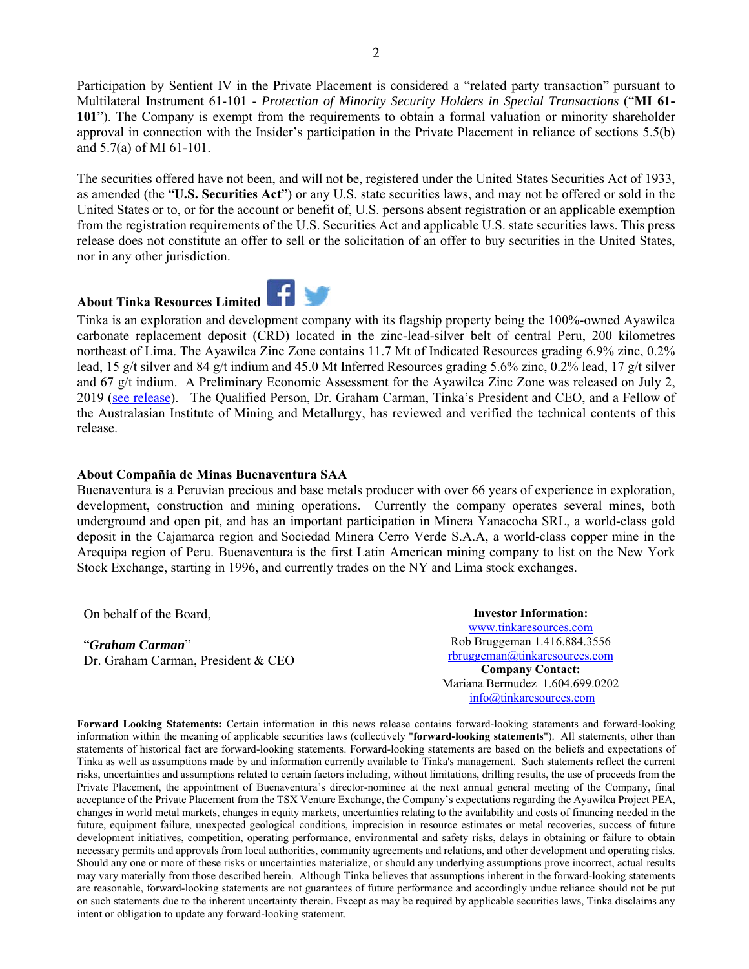Participation by Sentient IV in the Private Placement is considered a "related party transaction" pursuant to Multilateral Instrument 61-101 - *Protection of Minority Security Holders in Special Transactions* ("**MI 61- 101**"). The Company is exempt from the requirements to obtain a formal valuation or minority shareholder approval in connection with the Insider's participation in the Private Placement in reliance of sections 5.5(b) and 5.7(a) of MI 61-101.

The securities offered have not been, and will not be, registered under the United States Securities Act of 1933, as amended (the "**U.S. Securities Act**") or any U.S. state securities laws, and may not be offered or sold in the United States or to, or for the account or benefit of, U.S. persons absent registration or an applicable exemption from the registration requirements of the U.S. Securities Act and applicable U.S. state securities laws. This press release does not constitute an offer to sell or the solicitation of an offer to buy securities in the United States, nor in any other jurisdiction.

### **About Tinka Resources Limited**



Tinka is an exploration and development company with its flagship property being the 100%-owned Ayawilca carbonate replacement deposit (CRD) located in the zinc-lead-silver belt of central Peru, 200 kilometres northeast of Lima. The Ayawilca Zinc Zone contains 11.7 Mt of Indicated Resources grading 6.9% zinc, 0.2% lead, 15 g/t silver and 84 g/t indium and 45.0 Mt Inferred Resources grading 5.6% zinc, 0.2% lead, 17 g/t silver and 67 g/t indium. A Preliminary Economic Assessment for the Ayawilca Zinc Zone was released on July 2, 2019 [\(see release\)](http://www.tinkaresources.com/news/tinka-reports-positive-pea-for-the-ayawilca-zinc-project). The Qualified Person, Dr. Graham Carman, Tinka's President and CEO, and a Fellow of the Australasian Institute of Mining and Metallurgy, has reviewed and verified the technical contents of this release.

#### **About Compañia de Minas Buenaventura SAA**

Buenaventura is a Peruvian precious and base metals producer with over 66 years of experience in exploration, development, construction and mining operations. Currently the company operates several mines, both underground and open pit, and has an important participation in Minera Yanacocha SRL, a world-class gold deposit in the Cajamarca region and Sociedad Minera Cerro Verde S.A.A, a world-class copper mine in the Arequipa region of Peru. Buenaventura is the first Latin American mining company to list on the New York Stock Exchange, starting in 1996, and currently trades on the NY and Lima stock exchanges.

On behalf of the Board,

"*Graham Carman*" Dr. Graham Carman, President & CEO

**Investor Information:**  www.tinkaresources.com Rob Bruggeman 1.416.884.3556 rbruggeman@tinkaresources.com **Company Contact:** Mariana Bermudez 1.604.699.0202 info@tinkaresources.com

**Forward Looking Statements:** Certain information in this news release contains forward-looking statements and forward-looking information within the meaning of applicable securities laws (collectively "**forward-looking statements**"). All statements, other than statements of historical fact are forward-looking statements. Forward-looking statements are based on the beliefs and expectations of Tinka as well as assumptions made by and information currently available to Tinka's management. Such statements reflect the current risks, uncertainties and assumptions related to certain factors including, without limitations, drilling results, the use of proceeds from the Private Placement, the appointment of Buenaventura's director-nominee at the next annual general meeting of the Company, final acceptance of the Private Placement from the TSX Venture Exchange, the Company's expectations regarding the Ayawilca Project PEA, changes in world metal markets, changes in equity markets, uncertainties relating to the availability and costs of financing needed in the future, equipment failure, unexpected geological conditions, imprecision in resource estimates or metal recoveries, success of future development initiatives, competition, operating performance, environmental and safety risks, delays in obtaining or failure to obtain necessary permits and approvals from local authorities, community agreements and relations, and other development and operating risks. Should any one or more of these risks or uncertainties materialize, or should any underlying assumptions prove incorrect, actual results may vary materially from those described herein. Although Tinka believes that assumptions inherent in the forward-looking statements are reasonable, forward-looking statements are not guarantees of future performance and accordingly undue reliance should not be put on such statements due to the inherent uncertainty therein. Except as may be required by applicable securities laws, Tinka disclaims any intent or obligation to update any forward-looking statement.